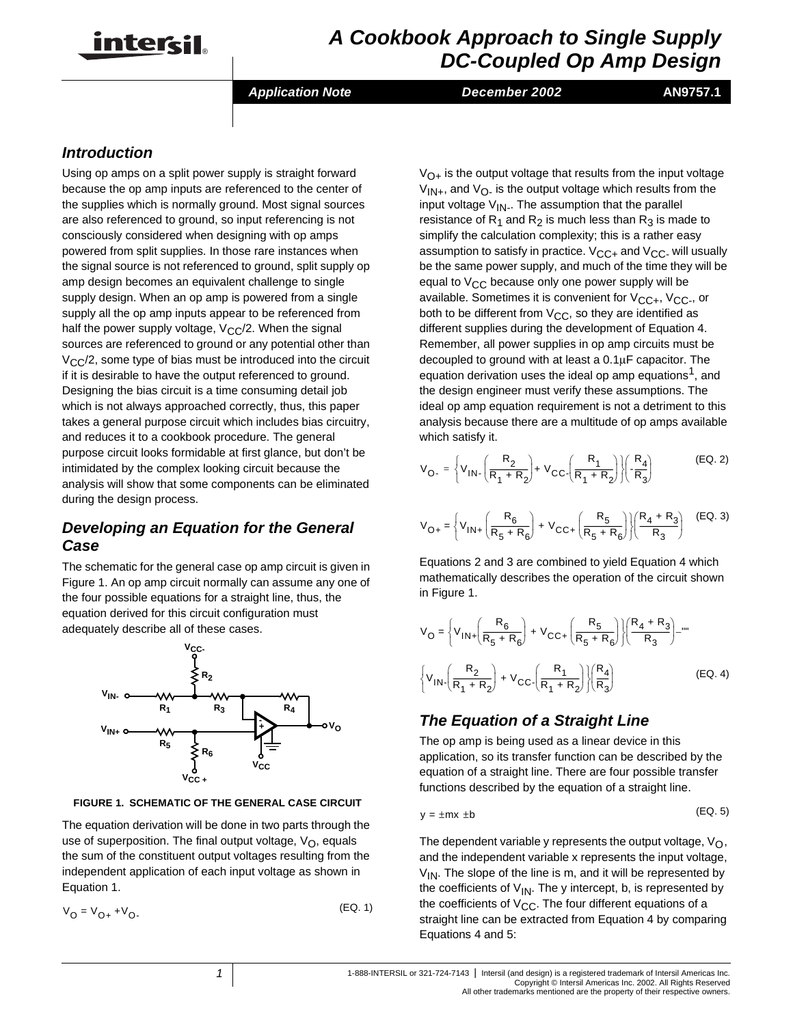

# *A Cookbook Approach to Single Supply DC-Coupled Op Amp Design*

*Application Note December 2002* **AN9757.1**

## *Introduction*

Using op amps on a split power supply is straight forward because the op amp inputs are referenced to the center of the supplies which is normally ground. Most signal sources are also referenced to ground, so input referencing is not consciously considered when designing with op amps powered from split supplies. In those rare instances when the signal source is not referenced to ground, split supply op amp design becomes an equivalent challenge to single supply design. When an op amp is powered from a single supply all the op amp inputs appear to be referenced from half the power supply voltage,  $V_{\rm CC}/2$ . When the signal sources are referenced to ground or any potential other than  $V_{\rm CC}/2$ , some type of bias must be introduced into the circuit if it is desirable to have the output referenced to ground. Designing the bias circuit is a time consuming detail job which is not always approached correctly, thus, this paper takes a general purpose circuit which includes bias circuitry, and reduces it to a cookbook procedure. The general purpose circuit looks formidable at first glance, but don't be intimidated by the complex looking circuit because the analysis will show that some components can be eliminated during the design process.

## *Developing an Equation for the General Case*

The schematic for the general case op amp circuit is given in Figure 1. An op amp circuit normally can assume any one of the four possible equations for a straight line, thus, the equation derived for this circuit configuration must adequately describe all of these cases.



**FIGURE 1. SCHEMATIC OF THE GENERAL CASE CIRCUIT**

The equation derivation will be done in two parts through the use of superposition. The final output voltage,  $V_{\Omega}$ , equals the sum of the constituent output voltages resulting from the independent application of each input voltage as shown in Equation 1.

$$
V_{O} = V_{O+} + V_{O-}
$$
 (EQ. 1)

 $V_{\Omega+}$  is the output voltage that results from the input voltage  $V_{1N+}$ , and  $V_{0}$  is the output voltage which results from the input voltage  $V_{IN}$ . The assumption that the parallel resistance of R<sub>1</sub> and R<sub>2</sub> is much less than R<sub>3</sub> is made to simplify the calculation complexity; this is a rather easy assumption to satisfy in practice.  $V_{CC+}$  and  $V_{CC-}$  will usually be the same power supply, and much of the time they will be equal to  $V_{CC}$  because only one power supply will be available. Sometimes it is convenient for  $V_{CC+}$ ,  $V_{CC-}$ , or both to be different from  $V_{CC}$ , so they are identified as different supplies during the development of Equation 4. Remember, all power supplies in op amp circuits must be decoupled to ground with at least a 0.1µF capacitor. The equation derivation uses the ideal op amp equations<sup>1</sup>, and the design engineer must verify these assumptions. The ideal op amp equation requirement is not a detriment to this analysis because there are a multitude of op amps available which satisfy it.

$$
V_{O-} = \left\{ V_{1N} \left( \frac{R_2}{R_1 + R_2} \right) + V_{CC} \left( \frac{R_1}{R_1 + R_2} \right) \right\} \left( \frac{R_4}{R_3} \right) \tag{EQ.2}
$$

$$
V_{O+} = \left\{ V_{1N+} \left( \frac{R_6}{R_5 + R_6} \right) + V_{CC+} \left( \frac{R_5}{R_5 + R_6} \right) \right\} \left( \frac{R_4 + R_3}{R_3} \right) \quad \text{(EQ. 3)}
$$

Equations 2 and 3 are combined to yield Equation 4 which mathematically describes the operation of the circuit shown in Figure 1.

$$
V_{\mathbf{O}} = \left\{ V_{\mathbf{IN}+} \left( \frac{R_6}{R_5 + R_6} \right) + V_{\mathbf{CC}+} \left( \frac{R_5}{R_5 + R_6} \right) \right\} \left( \frac{R_4 + R_3}{R_3} \right)^{-m}
$$
  

$$
\left\{ V_{\mathbf{IN} \cdot} \left( \frac{R_2}{R_1 + R_2} \right) + V_{\mathbf{CC} \cdot} \left( \frac{R_1}{R_1 + R_2} \right) \right\} \left( \frac{R_4}{R_3} \right) \tag{Eq. 4}
$$

# *The Equation of a Straight Line*

The op amp is being used as a linear device in this application, so its transfer function can be described by the equation of a straight line. There are four possible transfer functions described by the equation of a straight line.

$$
y = \pm mx \pm b \tag{EQ. 5}
$$

The dependent variable y represents the output voltage,  $V_{\Omega}$ , and the independent variable x represents the input voltage,  $V_{1N}$ . The slope of the line is m, and it will be represented by the coefficients of  $V_{IN}$ . The y intercept, b, is represented by the coefficients of  $V_{CC}$ . The four different equations of a straight line can be extracted from Equation 4 by comparing Equations 4 and 5: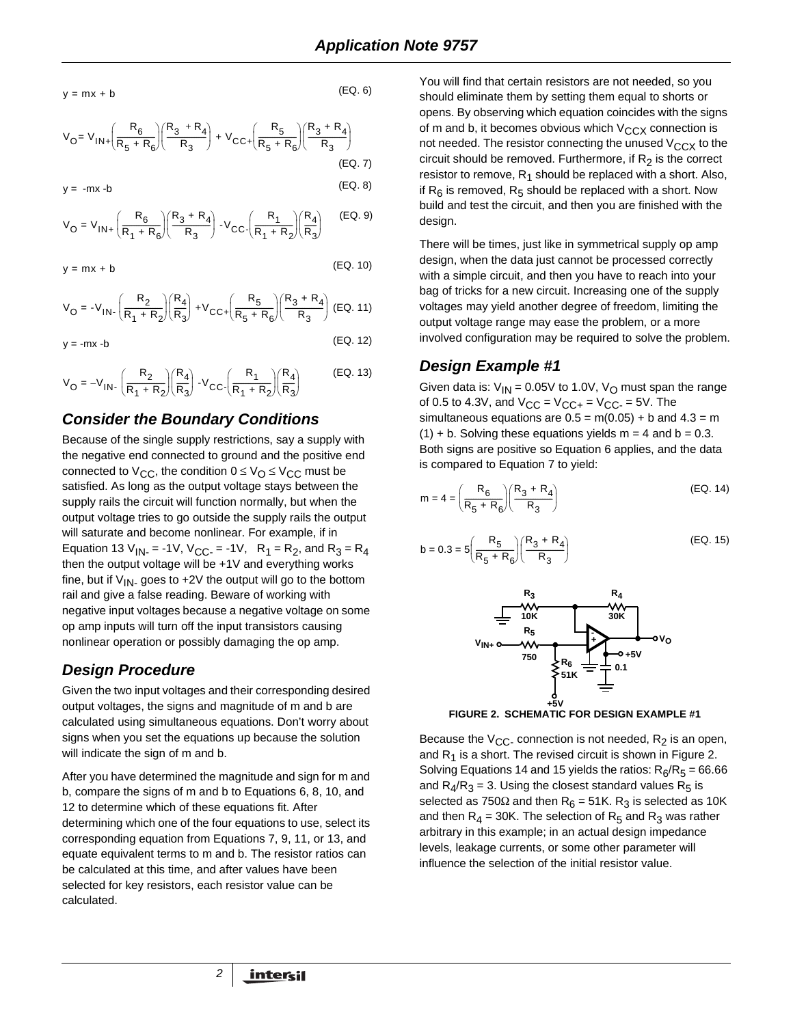$y = mx + b$ 

$$
(EQ. 6)
$$

$$
V_{O} = V_{IN} + \left(\frac{R_6}{R_5 + R_6}\right) \left(\frac{R_3 + R_4}{R_3}\right) + V_{CC} + \left(\frac{R_5}{R_5 + R_6}\right) \left(\frac{R_3 + R_4}{R_3}\right)
$$
\n(EQ. 7)

 $y = -mx -b$  (EQ. 8)

$$
V_{O} = V_{IN+} \left( \frac{R_{6}}{R_{1} + R_{6}} \right) \left( \frac{R_{3} + R_{4}}{R_{3}} \right) - V_{CC} \left( \frac{R_{1}}{R_{1} + R_{2}} \right) \left( \frac{R_{4}}{R_{3}} \right) \tag{EQ.9}
$$

 $y = mx + b$  (EQ. 10)

$$
V_{O} = -V_{1N} \cdot \left(\frac{R_{2}}{R_{1} + R_{2}}\right) \left(\frac{R_{4}}{R_{3}}\right) + V_{CC} \cdot \left(\frac{R_{5}}{R_{5} + R_{6}}\right) \left(\frac{R_{3} + R_{4}}{R_{3}}\right)
$$
(EQ. 11)

 $y = -mx -b$  (EQ. 12)

$$
V_{O} = -V_{IN} \cdot \left(\frac{R_{2}}{R_{1} + R_{2}}\right) \left(\frac{R_{4}}{R_{3}}\right) - V_{CC} \cdot \left(\frac{R_{1}}{R_{1} + R_{2}}\right) \left(\frac{R_{4}}{R_{3}}\right)
$$
(EQ. 13)

#### *Consider the Boundary Conditions*

Because of the single supply restrictions, say a supply with the negative end connected to ground and the positive end connected to  $V_{CC}$ , the condition  $0 \leq V_{C} \leq V_{CC}$  must be satisfied. As long as the output voltage stays between the supply rails the circuit will function normally, but when the output voltage tries to go outside the supply rails the output will saturate and become nonlinear. For example, if in Equation 13 V<sub>IN</sub> = -1V, V<sub>CC</sub> = -1V, R<sub>1</sub> = R<sub>2</sub>, and R<sub>3</sub> = R<sub>4</sub> then the output voltage will be +1V and everything works fine, but if  $V_{IN}$  goes to +2V the output will go to the bottom rail and give a false reading. Beware of working with negative input voltages because a negative voltage on some op amp inputs will turn off the input transistors causing nonlinear operation or possibly damaging the op amp.

#### *Design Procedure*

Given the two input voltages and their corresponding desired output voltages, the signs and magnitude of m and b are calculated using simultaneous equations. Don't worry about signs when you set the equations up because the solution will indicate the sign of m and b.

After you have determined the magnitude and sign for m and b, compare the signs of m and b to Equations 6, 8, 10, and 12 to determine which of these equations fit. After determining which one of the four equations to use, select its corresponding equation from Equations 7, 9, 11, or 13, and equate equivalent terms to m and b. The resistor ratios can be calculated at this time, and after values have been selected for key resistors, each resistor value can be calculated.

*2*

You will find that certain resistors are not needed, so you should eliminate them by setting them equal to shorts or opens. By observing which equation coincides with the signs of m and b, it becomes obvious which  $V_{CCX}$  connection is not needed. The resistor connecting the unused  $V_{CCX}$  to the circuit should be removed. Furthermore, if  $R<sub>2</sub>$  is the correct resistor to remove,  $R_1$  should be replaced with a short. Also, if  $R_6$  is removed,  $R_5$  should be replaced with a short. Now build and test the circuit, and then you are finished with the design.

There will be times, just like in symmetrical supply op amp design, when the data just cannot be processed correctly with a simple circuit, and then you have to reach into your bag of tricks for a new circuit. Increasing one of the supply voltages may yield another degree of freedom, limiting the output voltage range may ease the problem, or a more involved configuration may be required to solve the problem.

## *Design Example #1*

Given data is:  $V_{IN} = 0.05V$  to 1.0V,  $V_{O}$  must span the range of 0.5 to 4.3V, and  $V_{CC} = V_{CC+} = V_{CC-} = 5V$ . The simultaneous equations are  $0.5 = m(0.05) + b$  and  $4.3 = m$  $(1) + b$ . Solving these equations yields m = 4 and b = 0.3. Both signs are positive so Equation 6 applies, and the data is compared to Equation 7 to yield:

$$
m = 4 = \left(\frac{R_6}{R_5 + R_6}\right) \left(\frac{R_3 + R_4}{R_3}\right)
$$
 (EQ. 14)

$$
b = 0.3 = 5 \left( \frac{R_5}{R_5 + R_6} \right) \left( \frac{R_3 + R_4}{R_3} \right)
$$
 (EQ. 15)



**FIGURE 2. SCHEMATIC FOR DESIGN EXAMPLE #1** 

Because the  $V_{CC}$  connection is not needed,  $R_2$  is an open, and  $R_1$  is a short. The revised circuit is shown in Figure 2. Solving Equations 14 and 15 yields the ratios:  $R_6/R_5 = 66.66$ and  $R_4/R_3 = 3$ . Using the closest standard values  $R_5$  is selected as 750 $\Omega$  and then R<sub>6</sub> = 51K. R<sub>3</sub> is selected as 10K and then  $R_4$  = 30K. The selection of  $R_5$  and  $R_3$  was rather arbitrary in this example; in an actual design impedance levels, leakage currents, or some other parameter will influence the selection of the initial resistor value.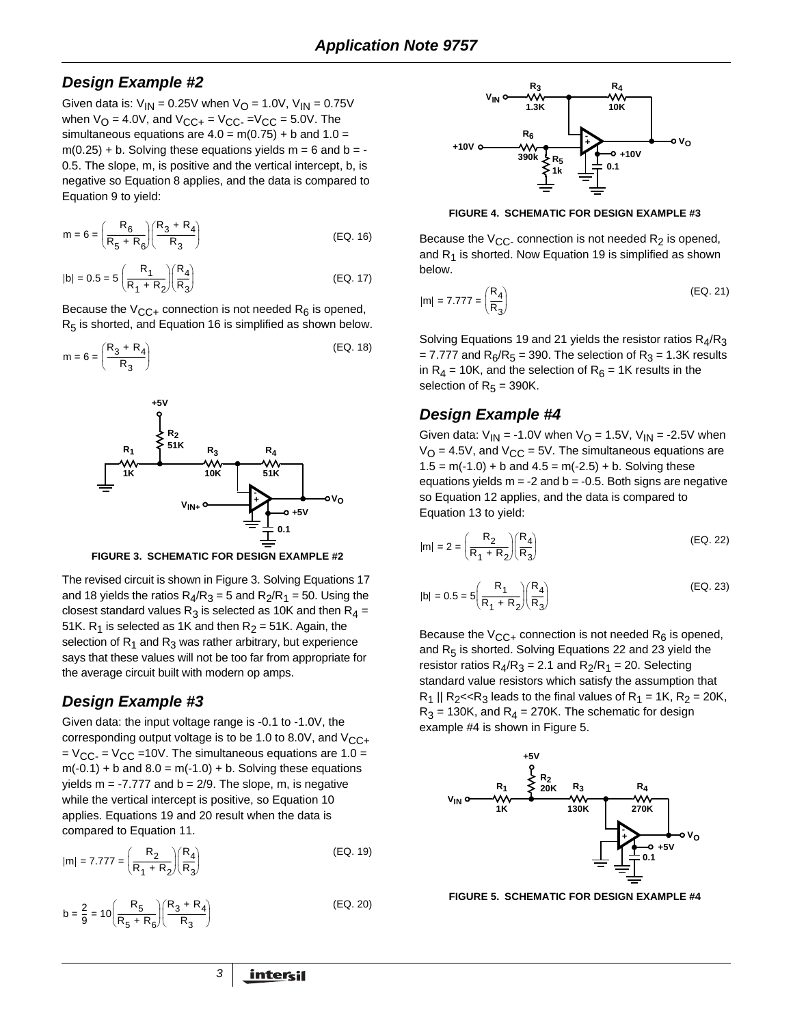#### *Design Example #2*

Given data is:  $V_{1N} = 0.25V$  when  $V_{\Omega} = 1.0V$ ,  $V_{1N} = 0.75V$ when  $V_{\text{O}} = 4.0V$ , and  $V_{\text{CC+}} = V_{\text{CC-}} = V_{\text{CC}} = 5.0V$ . The simultaneous equations are  $4.0 = m(0.75) + b$  and  $1.0 =$  $m(0.25) + b$ . Solving these equations yields  $m = 6$  and  $b = -$ 0.5. The slope, m, is positive and the vertical intercept, b, is negative so Equation 8 applies, and the data is compared to Equation 9 to yield:

$$
m = 6 = \left(\frac{R_6}{R_5 + R_6}\right) \left(\frac{R_3 + R_4}{R_3}\right)
$$
 (EQ. 16)

$$
|b| = 0.5 = 5 \left(\frac{R_1}{R_1 + R_2}\right) \left(\frac{R_4}{R_3}\right)
$$
 (EQ. 17)

Because the  $V_{\text{CC+}}$  connection is not needed R<sub>6</sub> is opened,  $R<sub>5</sub>$  is shorted, and Equation 16 is simplified as shown below.

$$
m = 6 = \left(\frac{R_3 + R_4}{R_3}\right) \tag{EQ.18}
$$



**FIGURE 3. SCHEMATIC FOR DESIGN EXAMPLE #2** 

The revised circuit is shown in Figure 3. Solving Equations 17 and 18 yields the ratios  $R_4/R_3 = 5$  and  $R_2/R_1 = 50$ . Using the closest standard values  $R_3$  is selected as 10K and then  $R_4$  = 51K.  $R_1$  is selected as 1K and then  $R_2 = 51$ K. Again, the selection of  $R_1$  and  $R_3$  was rather arbitrary, but experience says that these values will not be too far from appropriate for the average circuit built with modern op amps.

#### *Design Example #3*

Given data: the input voltage range is -0.1 to -1.0V, the corresponding output voltage is to be 1.0 to 8.0V, and  $V_{\text{CC+}}$  $= V_{CC} = V_{CC} = 10V$ . The simultaneous equations are 1.0 =  $m(-0.1) + b$  and  $8.0 = m(-1.0) + b$ . Solving these equations yields  $m = -7.777$  and  $b = 2/9$ . The slope, m, is negative while the vertical intercept is positive, so Equation 10 applies. Equations 19 and 20 result when the data is compared to Equation 11.

$$
|m| = 7.777 = \left(\frac{R_2}{R_1 + R_2}\right)\left(\frac{R_4}{R_3}\right)
$$
\n(EQ. 19)

$$
b = \frac{2}{9} = 10 \left( \frac{R_5}{R_5 + R_6} \right) \left( \frac{R_3 + R_4}{R_3} \right)
$$
 (EQ. 20)



**FIGURE 4. SCHEMATIC FOR DESIGN EXAMPLE #3** 

Because the  $V_{CC}$  connection is not needed  $R_2$  is opened, and  $R_1$  is shorted. Now Equation 19 is simplified as shown below.

$$
|m| = 7.777 = \left(\frac{R_4}{R_3}\right)
$$
 (EQ. 21)

Solving Equations 19 and 21 yields the resistor ratios  $R_4/R_3$ = 7.777 and  $R_6/R_5$  = 390. The selection of  $R_3$  = 1.3K results in  $R_4$  = 10K, and the selection of  $R_6$  = 1K results in the selection of  $R_5 = 390K$ .

## *Design Example #4*

Given data:  $V_{IN} = -1.0V$  when  $V_{O} = 1.5V$ ,  $V_{IN} = -2.5V$  when  $V_{\Omega}$  = 4.5V, and  $V_{\text{CC}}$  = 5V. The simultaneous equations are  $1.5 = m(-1.0) + b$  and  $4.5 = m(-2.5) + b$ . Solving these equations yields  $m = -2$  and  $b = -0.5$ . Both signs are negative so Equation 12 applies, and the data is compared to Equation 13 to yield:

$$
|m| = 2 = \left(\frac{R_2}{R_1 + R_2}\right) \left(\frac{R_4}{R_3}\right)
$$
 (EQ. 22)

$$
|b| = 0.5 = 5\left(\frac{R_1}{R_1 + R_2}\right)\left(\frac{R_4}{R_3}\right)
$$
 (EQ. 23)

Because the  $V_{CC+}$  connection is not needed  $R_6$  is opened, and  $R_5$  is shorted. Solving Equations 22 and 23 yield the resistor ratios  $R_4/R_3 = 2.1$  and  $R_2/R_1 = 20$ . Selecting standard value resistors which satisfy the assumption that  $R_1$  ||  $R_2$  <  $R_3$  leads to the final values of  $R_1$  = 1K,  $R_2$  = 20K,  $R_3$  = 130K, and  $R_4$  = 270K. The schematic for design example #4 is shown in Figure 5.



**FIGURE 5. SCHEMATIC FOR DESIGN EXAMPLE #4**